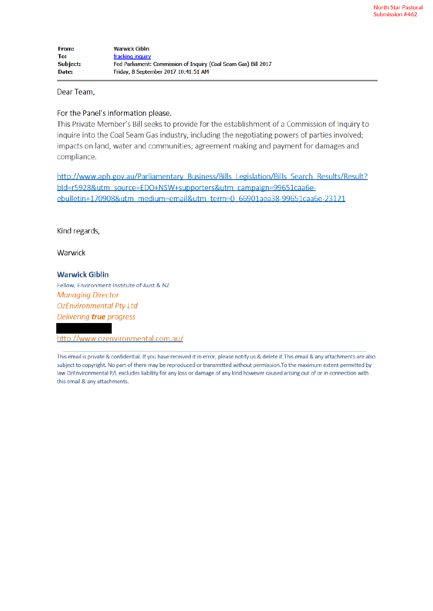Dear Team.

#### For the Panel's information please.

This Private Member's Bill seeks to provide for the establishment of a Commission of Inquiry to inquire into the Coal Seam Gas industry, including the negotiating powers of parties involved; impacts on land, water and communities; agreement making and payment for damages and compliance.

http://www.aph.gov.au/Parliamentary Business/Bills Legislation/Bills Search Results/Result? bld=r5928&utm\_source=EDO+NSW+supporters&utm\_campaign=99651caa6eebulletin+170908&utm\_medium=email&utm\_term=0\_66901aea38-99651caa6e-23121

Kind regards,

Warwick

### **Warwick Giblin**

Fellow, Environment Institute of Aust & NZ **Managing Director OzEnvironmental Pty Ltd** Delivering true progress

http://www.ozenvironmental.com.au/

This email is private & confidential. If you have received it in error, please notify us & delete it. This email & any attachments are also subject to copyright. No part of them may be reproduced or transmitted without permission. To the maximum extent permitted by law OzEnvironmental P/L excludes liability for any loss or damage of any kind however caused arising out of or in connection with this email & any attachments.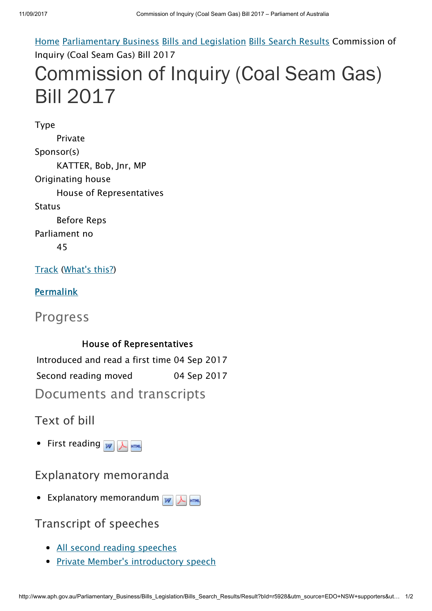Home Parliamentary Business Bills and Legislation Bills Search Results Commission of Inquiry (Coal Seam Gas) Bill 2017 Commission of Inquiry (Coal Seam Gas) Bill 2017

Type Private Sponsor(s) KATTER, Bob, Jnr, MP Originating house House of Representatives **Status** Before Reps Parliament no 45

Track (What's this?)

**Permalink** 

Progress

House of Representatives Introduced and read a first time 04 Sep 2017 Second reading moved 04 Sep 2017 Documents and transcripts

Text of bill

• First reading  $w$   $\frac{1}{2}$   $\frac{1}{2}$   $\frac{1}{2}$   $\frac{1}{2}$ 

Explanatory memoranda

• Explanatory memorandum  $w$   $\sqrt{\frac{1}{2}m}$ 

Transcript of speeches

- All second reading speeches
- **Private Member's introductory speech**